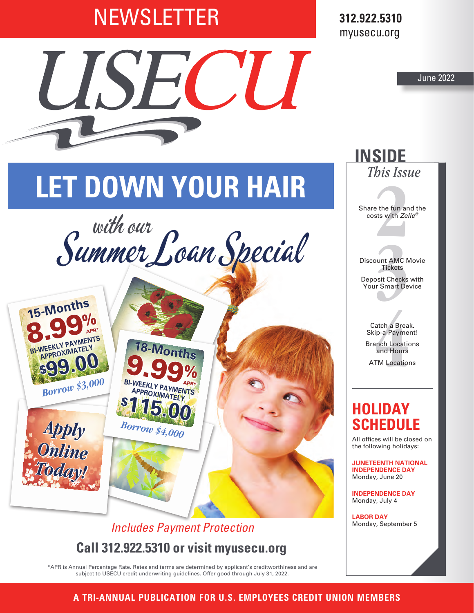## **NEWSLETTER**

IIS

**312.922.5310** myusecu.org

June 2022

# **LET DOWN YOUR HAIR**

 $\frac{1}{2}$ 





## **Call 312.922.5310 or visit myusecu.org** *Includes Payment Protection*

\*APR is Annual Percentage Rate. Rates and terms are determined by applicant's creditworthiness and are subject to USECU credit underwriting guidelines. Offer good through July 31, 2022.

**2**<br>**2**<br>**2**<br>**2**<br>**2**<br>**2**<br>**2**<br>**2**<br>**2** Share the fun and the costs with *Zelle®*

*This Issue*

**INSIDE**

**3** Discount AMC Movie **Tickets** Deposit Checks with Your Smart Device

atch a Breal<br>ip-a-Paymer<br>anch Locatic<br>and Hours<br>TM Locatior Catch a Break. Skip-a-Payment! Branch Locations and Hours ATM Locations

## **HOLIDAY SCHEDULE**

All offices will be closed on the following holidays:

**JUNETEENTH NATIONAL INDEPENDENCE DAY**  Monday, June 20

**INDEPENDENCE DAY**  Monday, July 4

**LABOR DAY**  Monday, September 5

**Visit myusecu.org for current rates. A TRI-ANNUAL PUBLICATION FOR U.S. EMPLOYEES CREDIT UNION MEMBERS**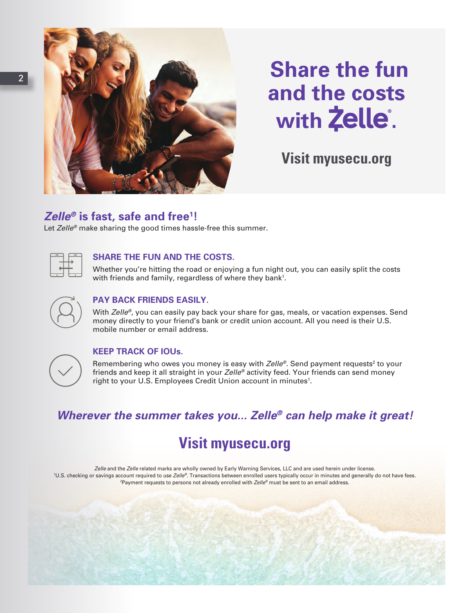

## **Share the fun and the costs**  with **Zelle**.

**Visit myusecu.org**

### *Zelle®* **is fast, safe and free1 !**

Let *Zelle®* make sharing the good times hassle-free this summer.

#### **SHARE THE FUN AND THE COSTS.**

 Whether you're hitting the road or enjoying a fun night out, you can easily split the costs with friends and family, regardless of where they bank<sup>1</sup>.

#### **PAY BACK FRIENDS EASILY.**

With *Zelle<sup>®</sup>*, you can easily pay back your share for gas, meals, or vacation expenses. Send money directly to your friend's bank or credit union account. All you need is their U.S. mobile number or email address.



#### **KEEP TRACK OF IOUs.**

Remembering who owes you money is easy with *Zelle®*. Send payment requests<sup>2</sup> to your friends and keep it all straight in your *Zelle®* activity feed. Your friends can send money right to your U.S. Employees Credit Union account in minutes<sup>1</sup>.

### *Wherever the summer takes you... Zelle® can help make it great!*

## **Visit myusecu.org**

*Zelle* and the *Zelle* related marks are wholly owned by Early Warning Services, LLC and are used herein under license. 1 U.S. checking or savings account required to use *Zelle®*. Transactions between enrolled users typically occur in minutes and generally do not have fees. 2 Payment requests to persons not already enrolled with *Zelle®* must be sent to an email address.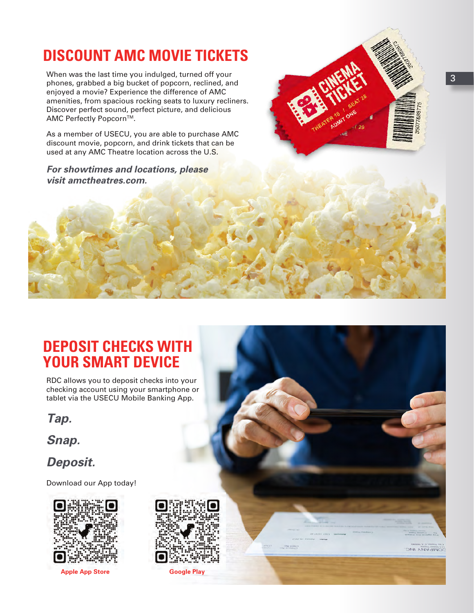## **DISCOUNT AMC MOVIE TICKETS**

phones, grabbed a big bucket of popcorn, reclined, and<br>phones, grabbed a big bucket of popcorn, reclined, and When was the last time you indulged, turned off your enjoyed a movie? Experience the difference of AMC amenities, from spacious rocking seats to luxury recliners. Discover perfect sound, perfect picture, and delicious AMC Perfectly Popcorn™.

> As a member of USECU, you are able to purchase AMC discount movie, popcorn, and drink tickets that can be used at any AMC Theatre location across the U.S.

*For showtimes and locations, please visit amctheatres.com.*



RDC allows you to deposit checks into your checking account using your smartphone or tablet via the USECU Mobile Banking App.

*Tap.*

*Snap.*

*Deposit.*

Download our App today!



**Apple App Store Google Play**





**132 Prices Hame**